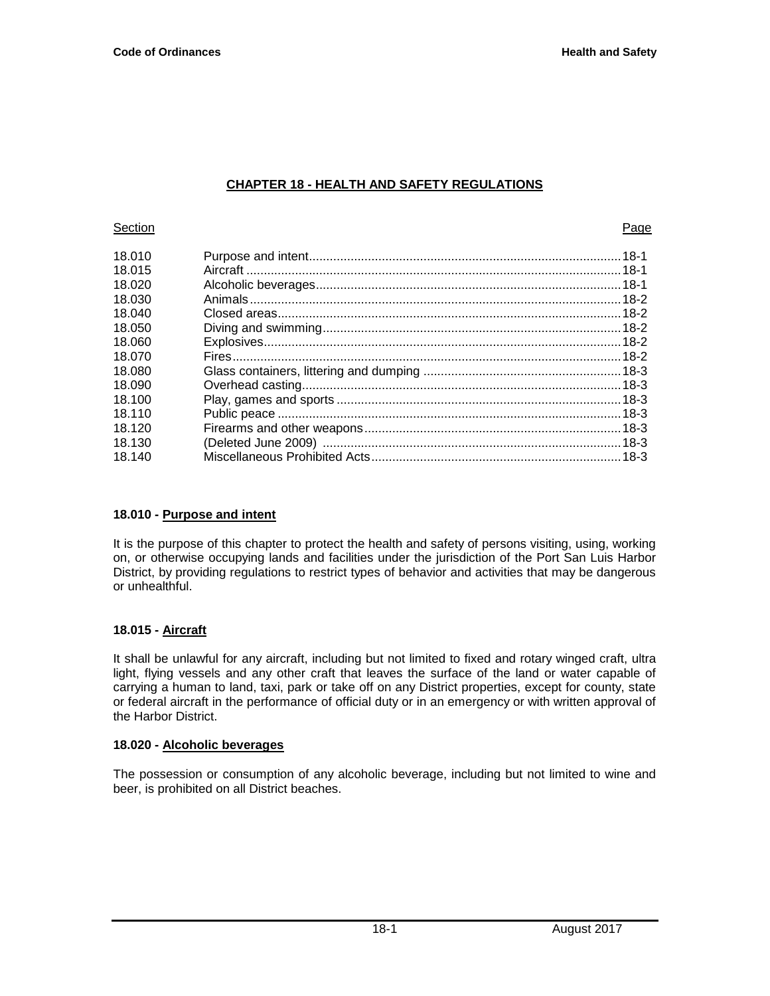# **CHAPTER 18 - HEALTH AND SAFETY REGULATIONS**

## **Section Page 19**

| 18.010 |  |
|--------|--|
| 18.015 |  |
| 18.020 |  |
| 18.030 |  |
| 18.040 |  |
| 18.050 |  |
| 18.060 |  |
| 18.070 |  |
| 18.080 |  |
| 18.090 |  |
| 18.100 |  |
| 18 110 |  |
| 18.120 |  |
| 18.130 |  |
| 18.140 |  |
|        |  |

# **18.010 - Purpose and intent**

It is the purpose of this chapter to protect the health and safety of persons visiting, using, working on, or otherwise occupying lands and facilities under the jurisdiction of the Port San Luis Harbor District, by providing regulations to restrict types of behavior and activities that may be dangerous or unhealthful.

# **18.015 - Aircraft**

It shall be unlawful for any aircraft, including but not limited to fixed and rotary winged craft, ultra light, flying vessels and any other craft that leaves the surface of the land or water capable of carrying a human to land, taxi, park or take off on any District properties, except for county, state or federal aircraft in the performance of official duty or in an emergency or with written approval of the Harbor District.

# **18.020 - Alcoholic beverages**

The possession or consumption of any alcoholic beverage, including but not limited to wine and beer, is prohibited on all District beaches.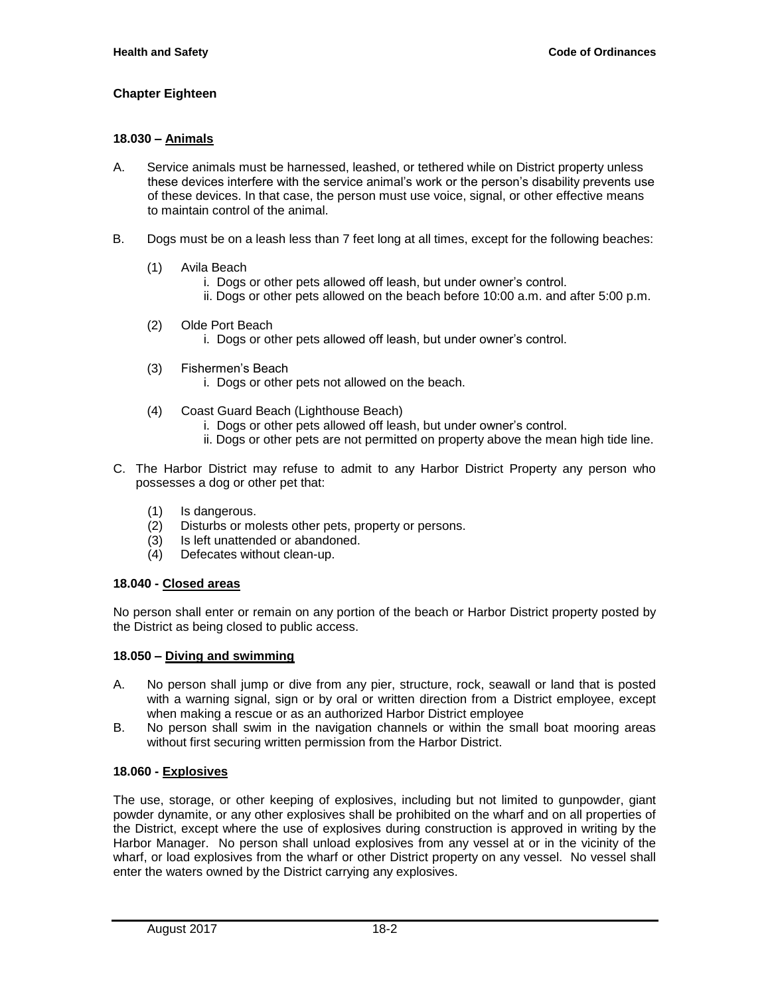# **Chapter Eighteen**

### **18.030 – Animals**

- A. Service animals must be harnessed, leashed, or tethered while on District property unless these devices interfere with the service animal's work or the person's disability prevents use of these devices. In that case, the person must use voice, signal, or other effective means to maintain control of the animal.
- B. Dogs must be on a leash less than 7 feet long at all times, except for the following beaches:
	- (1) Avila Beach
		- i. Dogs or other pets allowed off leash, but under owner's control.
		- ii. Dogs or other pets allowed on the beach before 10:00 a.m. and after 5:00 p.m.
	- (2) Olde Port Beach
		- i. Dogs or other pets allowed off leash, but under owner's control.
	- (3) Fishermen's Beach
		- i. Dogs or other pets not allowed on the beach.
	- (4) Coast Guard Beach (Lighthouse Beach)
		- i. Dogs or other pets allowed off leash, but under owner's control.
		- ii. Dogs or other pets are not permitted on property above the mean high tide line.
- C. The Harbor District may refuse to admit to any Harbor District Property any person who possesses a dog or other pet that:
	- (1) Is dangerous.
	- (2) Disturbs or molests other pets, property or persons.
	- (3) Is left unattended or abandoned.
	- (4) Defecates without clean-up.

#### **18.040 - Closed areas**

No person shall enter or remain on any portion of the beach or Harbor District property posted by the District as being closed to public access.

#### **18.050 – Diving and swimming**

- A. No person shall jump or dive from any pier, structure, rock, seawall or land that is posted with a warning signal, sign or by oral or written direction from a District employee, except when making a rescue or as an authorized Harbor District employee
- B. No person shall swim in the navigation channels or within the small boat mooring areas without first securing written permission from the Harbor District.

# **18.060 - Explosives**

The use, storage, or other keeping of explosives, including but not limited to gunpowder, giant powder dynamite, or any other explosives shall be prohibited on the wharf and on all properties of the District, except where the use of explosives during construction is approved in writing by the Harbor Manager. No person shall unload explosives from any vessel at or in the vicinity of the wharf, or load explosives from the wharf or other District property on any vessel. No vessel shall enter the waters owned by the District carrying any explosives.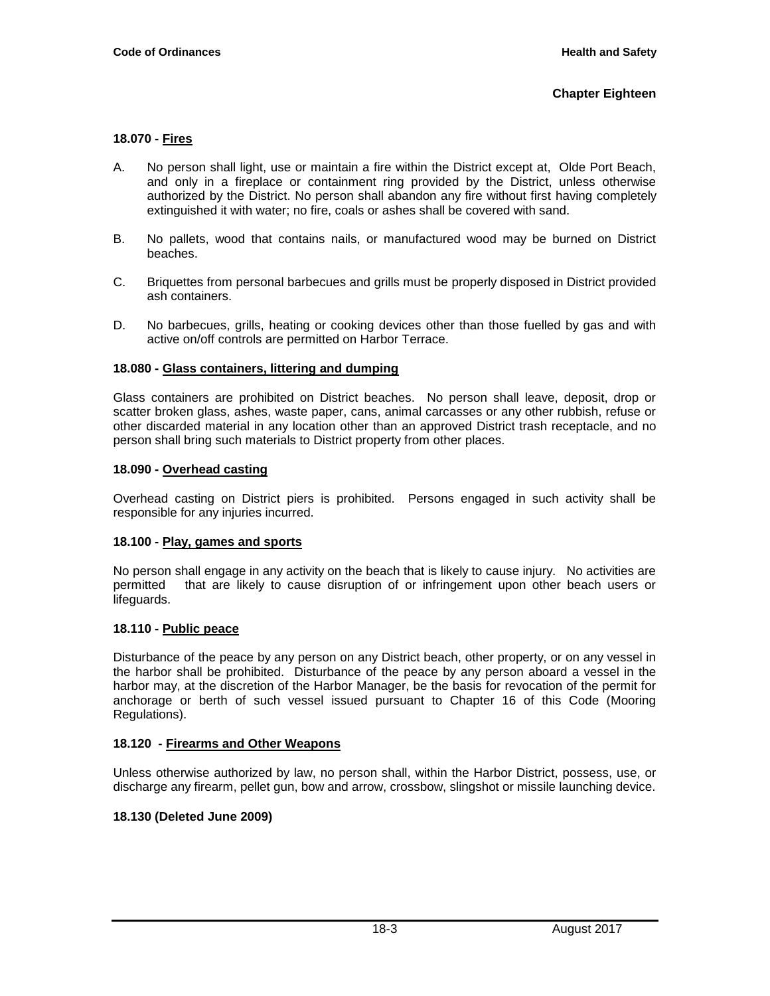# **Chapter Eighteen**

## **18.070 - Fires**

- A. No person shall light, use or maintain a fire within the District except at, Olde Port Beach, and only in a fireplace or containment ring provided by the District, unless otherwise authorized by the District. No person shall abandon any fire without first having completely extinguished it with water; no fire, coals or ashes shall be covered with sand.
- B. No pallets, wood that contains nails, or manufactured wood may be burned on District beaches.
- C. Briquettes from personal barbecues and grills must be properly disposed in District provided ash containers.
- D. No barbecues, grills, heating or cooking devices other than those fuelled by gas and with active on/off controls are permitted on Harbor Terrace.

### **18.080 - Glass containers, littering and dumping**

Glass containers are prohibited on District beaches. No person shall leave, deposit, drop or scatter broken glass, ashes, waste paper, cans, animal carcasses or any other rubbish, refuse or other discarded material in any location other than an approved District trash receptacle, and no person shall bring such materials to District property from other places.

### **18.090 - Overhead casting**

Overhead casting on District piers is prohibited. Persons engaged in such activity shall be responsible for any injuries incurred.

#### **18.100 - Play, games and sports**

No person shall engage in any activity on the beach that is likely to cause injury. No activities are permitted that are likely to cause disruption of or infringement upon other beach users or lifeguards.

# **18.110 - Public peace**

Disturbance of the peace by any person on any District beach, other property, or on any vessel in the harbor shall be prohibited. Disturbance of the peace by any person aboard a vessel in the harbor may, at the discretion of the Harbor Manager, be the basis for revocation of the permit for anchorage or berth of such vessel issued pursuant to Chapter 16 of this Code (Mooring Regulations).

#### **18.120 - Firearms and Other Weapons**

Unless otherwise authorized by law, no person shall, within the Harbor District, possess, use, or discharge any firearm, pellet gun, bow and arrow, crossbow, slingshot or missile launching device.

# **18.130 (Deleted June 2009)**